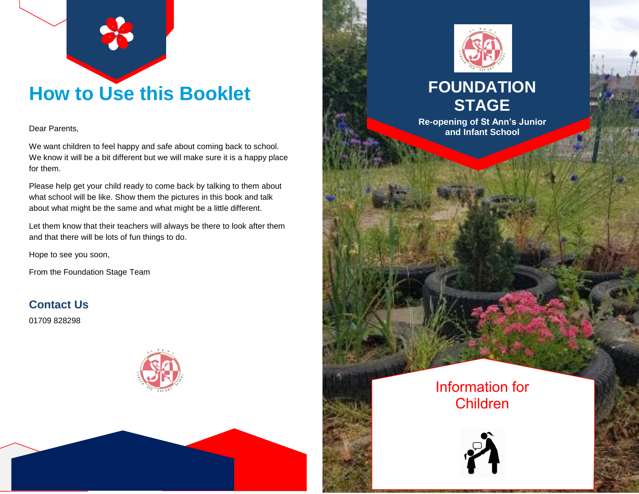

# **How to Use this Booklet**

Dear Parents,

We want children to feel happy and safe about coming back to school. We know it will be a bit different but we will make sure it is a happy place for them.

Please help get your child ready to come back by talking to them about what school will be like. Show them the pictures in this book and talk about what might be the same and what might be a little different.

Let them know that their teachers will always be there to look after them and that there will be lots of fun things to do.

Hope to see you soon,

From the Foundation Stage Team

**Contact Us**

01709 828298







## **FOUNDATION STAGE**

**Re-opening of St Ann's Junior and Infant School**

### Information for Children

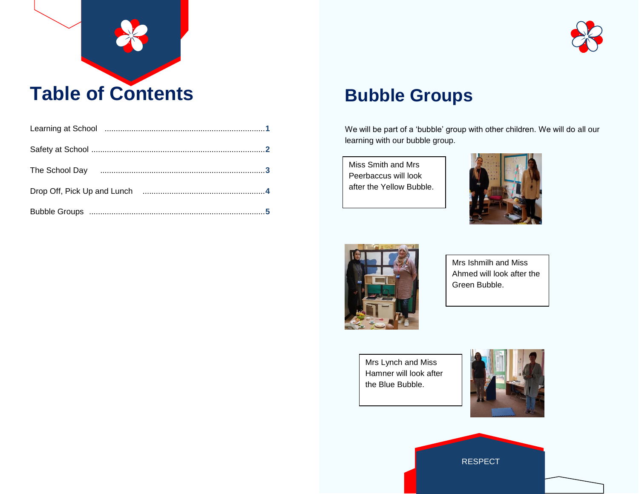



## **Bubble Groups**

We will be part of a 'bubble' group with other children. We will do all our learning with our bubble group.

Miss Smith and Mrs Peerbaccus will look after the Yellow Bubble.





Mrs Ishmilh and Miss Ahmed will look after the Green Bubble.

Mrs Lynch and Miss Hamner will look after the Blue Bubble.



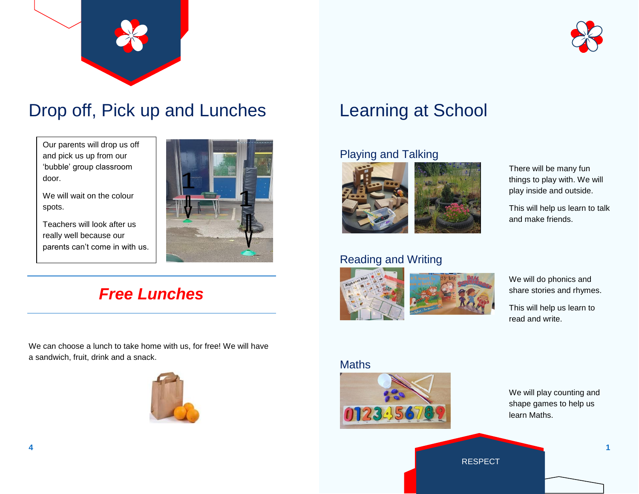



# Drop off, Pick up and Lunches

Our parents will drop us off and pick us up from our 'bubble' group classroom door.

We will wait on the colour spots.

Teachers will look after us really well because our parents can't come in with us.



### *Free Lunches*

We can choose a lunch to take home with us, for free! We will have a sandwich, fruit, drink and a snack.



# Learning at School

### Playing and Talking



### Reading and Writing





There will be many fun things to play with. We will play inside and outside.

This will help us learn to talk and make friends.

We will do phonics and share stories and rhymes.

This will help us learn to read and write.

### Maths



We will play counting and shape games to help us learn Maths.

RESPECT